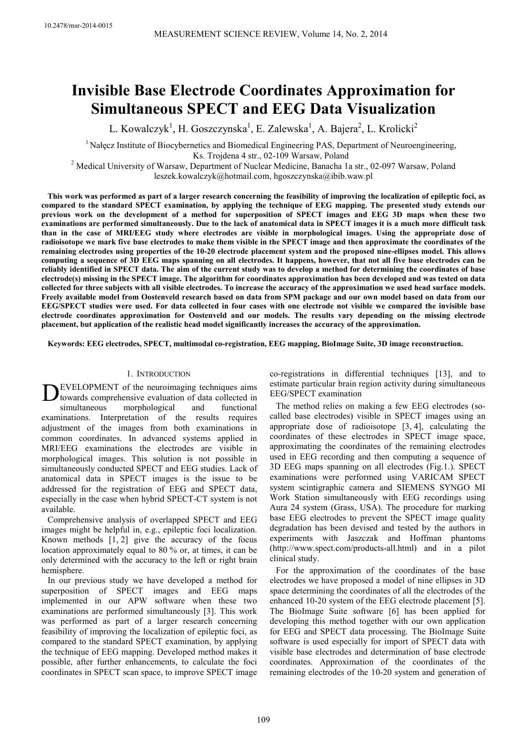# **Invisible Base Electrode Coordinates Approximation for Simultaneous SPECT and EEG Data Visualization**

L. Kowalczyk<sup>1</sup>, H. Goszczynska<sup>1</sup>, E. Zalewska<sup>1</sup>, A. Bajera<sup>2</sup>, L. Krolicki<sup>2</sup>

<sup>1</sup>Nałęcz Institute of Biocybernetics and Biomedical Engineering PAS, Department of Neuroengineering, Ks. Trojdena 4 str., 02-109 Warsaw, Poland

<sup>2</sup> Medical University of Warsaw, Department of Nuclear Medicine, Banacha 1a str., 02-097 Warsaw, Poland leszek.kowalczyk@hotmail.com, hgoszczynska@ibib.waw.pl

**This work was performed as part of a larger research concerning the feasibility of improving the localization of epileptic foci, as compared to the standard SPECT examination, by applying the technique of EEG mapping. The presented study extends our previous work on the development of a method for superposition of SPECT images and EEG 3D maps when these two examinations are performed simultaneously. Due to the lack of anatomical data in SPECT images it is a much more difficult task than in the case of MRI/EEG study where electrodes are visible in morphological images. Using the appropriate dose of radioisotope we mark five base electrodes to make them visible in the SPECT image and then approximate the coordinates of the remaining electrodes using properties of the 10-20 electrode placement system and the proposed nine-ellipses model. This allows computing a sequence of 3D EEG maps spanning on all electrodes. It happens, however, that not all five base electrodes can be reliably identified in SPECT data. The aim of the current study was to develop a method for determining the coordinates of base electrode(s) missing in the SPECT image. The algorithm for coordinates approximation has been developed and was tested on data collected for three subjects with all visible electrodes. To increase the accuracy of the approximation we used head surface models. Freely available model from Oostenveld research based on data from SPM package and our own model based on data from our EEG/SPECT studies were used. For data collected in four cases with one electrode not visible we compared the invisible base electrode coordinates approximation for Oostenveld and our models. The results vary depending on the missing electrode placement, but application of the realistic head model significantly increases the accuracy of the approximation.** 

**Keywords: EEG electrodes, SPECT, multimodal co-registration, EEG mapping, BioImage Suite, 3D image reconstruction.** 

## 1. INTRODUCTION

EVELOPMENT of the neuroimaging techniques aims towards comprehensive evaluation of data collected in simultaneous morphological and functional examinations. Interpretation of the results requires adjustment of the images from both examinations in common coordinates. In advanced systems applied in MRI/EEG examinations the electrodes are visible in morphological images. This solution is not possible in simultaneously conducted SPECT and EEG studies. Lack of anatomical data in SPECT images is the issue to be addressed for the registration of EEG and SPECT data, especially in the case when hybrid SPECT-CT system is not available. D

Comprehensive analysis of overlapped SPECT and EEG images might be helpful in, e.g., epileptic foci localization. Known methods  $[1, 2]$  give the accuracy of the focus location approximately equal to 80 % or, at times, it can be only determined with the accuracy to the left or right brain hemisphere.

In our previous study we have developed a method for superposition of SPECT images and EEG maps implemented in our APW software when these two examinations are performed simultaneously [3]. This work was performed as part of a larger research concerning feasibility of improving the localization of epileptic foci, as compared to the standard SPECT examination, by applying the technique of EEG mapping. Developed method makes it possible, after further enhancements, to calculate the foci coordinates in SPECT scan space, to improve SPECT image

co-registrations in differential techniques [13], and to estimate particular brain region activity during simultaneous EEG/SPECT examination

The method relies on making a few EEG electrodes (socalled base electrodes) visible in SPECT images using an appropriate dose of radioisotope [3, 4], calculating the coordinates of these electrodes in SPECT image space, approximating the coordinates of the remaining electrodes used in EEG recording and then computing a sequence of 3D EEG maps spanning on all electrodes (Fig.1.). SPECT examinations were performed using VARICAM SPECT system scintigraphic camera and SIEMENS SYNGO MI Work Station simultaneously with EEG recordings using Aura 24 system (Grass, USA). The procedure for marking base EEG electrodes to prevent the SPECT image quality degradation has been devised and tested by the authors in experiments with Jaszczak and Hoffman phantoms (http://www.spect.com/products-all.html) and in a pilot clinical study.

For the approximation of the coordinates of the base electrodes we have proposed a model of nine ellipses in 3D space determining the coordinates of all the electrodes of the enhanced 10-20 system of the EEG electrode placement [5]. The BioImage Suite software [6] has been applied for developing this method together with our own application for EEG and SPECT data processing. The BioImage Suite software is used especially for import of SPECT data with visible base electrodes and determination of base electrode coordinates. Approximation of the coordinates of the remaining electrodes of the 10-20 system and generation of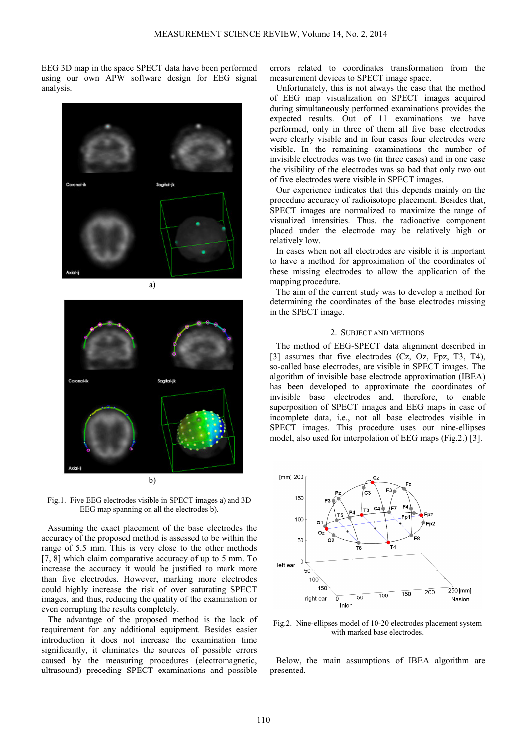EEG 3D map in the space SPECT data have been performed using our own APW software design for EEG signal analysis.



a)



Fig.1. Five EEG electrodes visible in SPECT images a) and 3D EEG map spanning on all the electrodes b).

Assuming the exact placement of the base electrodes the accuracy of the proposed method is assessed to be within the range of 5.5 mm. This is very close to the other methods [7, 8] which claim comparative accuracy of up to 5 mm. To increase the accuracy it would be justified to mark more than five electrodes. However, marking more electrodes could highly increase the risk of over saturating SPECT images, and thus, reducing the quality of the examination or even corrupting the results completely.

The advantage of the proposed method is the lack of requirement for any additional equipment. Besides easier introduction it does not increase the examination time significantly, it eliminates the sources of possible errors caused by the measuring procedures (electromagnetic, ultrasound) preceding SPECT examinations and possible

errors related to coordinates transformation from the measurement devices to SPECT image space.

Unfortunately, this is not always the case that the method of EEG map visualization on SPECT images acquired during simultaneously performed examinations provides the expected results. Out of 11 examinations we have performed, only in three of them all five base electrodes were clearly visible and in four cases four electrodes were visible. In the remaining examinations the number of invisible electrodes was two (in three cases) and in one case the visibility of the electrodes was so bad that only two out of five electrodes were visible in SPECT images.

Our experience indicates that this depends mainly on the procedure accuracy of radioisotope placement. Besides that, SPECT images are normalized to maximize the range of visualized intensities. Thus, the radioactive component placed under the electrode may be relatively high or relatively low.

In cases when not all electrodes are visible it is important to have a method for approximation of the coordinates of these missing electrodes to allow the application of the mapping procedure.

The aim of the current study was to develop a method for determining the coordinates of the base electrodes missing in the SPECT image.

## 2. SUBJECT AND METHODS

The method of EEG-SPECT data alignment described in [3] assumes that five electrodes (Cz, Oz, Fpz, T3, T4), so-called base electrodes, are visible in SPECT images. The algorithm of invisible base electrode approximation (IBEA) has been developed to approximate the coordinates of invisible base electrodes and, therefore, to enable superposition of SPECT images and EEG maps in case of incomplete data, i.e., not all base electrodes visible in SPECT images. This procedure uses our nine-ellipses model, also used for interpolation of EEG maps (Fig.2.) [3].



Fig.2. Nine-ellipses model of 10-20 electrodes placement system with marked base electrodes.

Below, the main assumptions of IBEA algorithm are presented.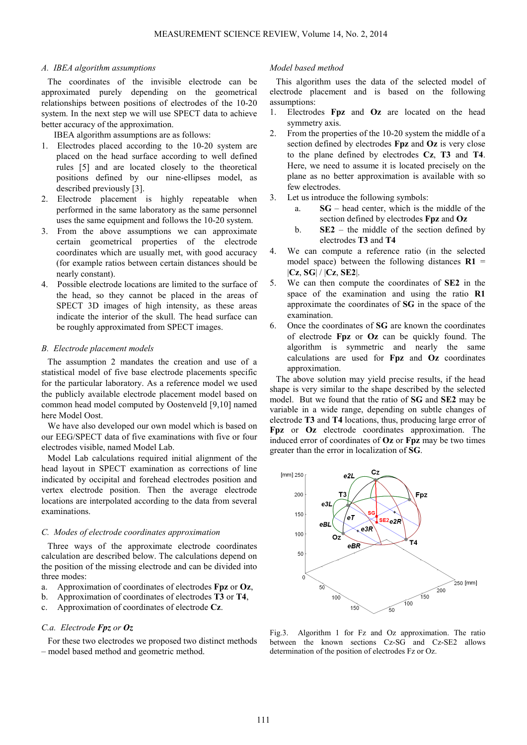### *A. IBEA algorithm assumptions*

The coordinates of the invisible electrode can be approximated purely depending on the geometrical relationships between positions of electrodes of the 10-20 system. In the next step we will use SPECT data to achieve better accuracy of the approximation.

IBEA algorithm assumptions are as follows:

- 1. Electrodes placed according to the 10-20 system are placed on the head surface according to well defined rules [5] and are located closely to the theoretical positions defined by our nine-ellipses model, as described previously [3].
- 2. Electrode placement is highly repeatable when performed in the same laboratory as the same personnel uses the same equipment and follows the 10-20 system.
- 3. From the above assumptions we can approximate certain geometrical properties of the electrode coordinates which are usually met, with good accuracy (for example ratios between certain distances should be nearly constant).
- 4. Possible electrode locations are limited to the surface of the head, so they cannot be placed in the areas of SPECT 3D images of high intensity, as these areas indicate the interior of the skull. The head surface can be roughly approximated from SPECT images.

## *B. Electrode placement models*

The assumption 2 mandates the creation and use of a statistical model of five base electrode placements specific for the particular laboratory. As a reference model we used the publicly available electrode placement model based on common head model computed by Oostenveld [9,10] named here Model Oost.

We have also developed our own model which is based on our EEG/SPECT data of five examinations with five or four electrodes visible, named Model Lab.

Model Lab calculations required initial alignment of the head layout in SPECT examination as corrections of line indicated by occipital and forehead electrodes position and vertex electrode position. Then the average electrode locations are interpolated according to the data from several examinations.

## *C. Modes of electrode coordinates approximation*

Three ways of the approximate electrode coordinates calculation are described below. The calculations depend on the position of the missing electrode and can be divided into three modes:

- a. Approximation of coordinates of electrodes **Fpz** or **Oz**,
- b. Approximation of coordinates of electrodes **T3** or **T4**,
- c. Approximation of coordinates of electrode **Cz**.

## *C.a. Electrode Fpz or Oz*

For these two electrodes we proposed two distinct methods – model based method and geometric method.

# *Model based method*

This algorithm uses the data of the selected model of electrode placement and is based on the following assumptions:

- 1. Electrodes **Fpz** and **Oz** are located on the head symmetry axis.
- 2. From the properties of the 10-20 system the middle of a section defined by electrodes **Fpz** and **Oz** is very close to the plane defined by electrodes **Cz**, **T3** and **T4**. Here, we need to assume it is located precisely on the plane as no better approximation is available with so few electrodes.
- 3. Let us introduce the following symbols:
	- a. **SG** head center, which is the middle of the section defined by electrodes **Fpz** and **Oz**
	- b. **SE2** the middle of the section defined by electrodes **T3** and **T4**
- 4. We can compute a reference ratio (in the selected model space) between the following distances  $R1$  = |**Cz**, **SG**| / |**Cz**, **SE2**|.
- 5. We can then compute the coordinates of **SE2** in the space of the examination and using the ratio **R1** approximate the coordinates of **SG** in the space of the examination.
- 6. Once the coordinates of **SG** are known the coordinates of electrode **Fpz** or **Oz** can be quickly found. The algorithm is symmetric and nearly the same calculations are used for **Fpz** and **Oz** coordinates approximation.

The above solution may yield precise results, if the head shape is very similar to the shape described by the selected model. But we found that the ratio of **SG** and **SE2** may be variable in a wide range, depending on subtle changes of electrode **T3** and **T4** locations, thus, producing large error of **Fpz** or **Oz** electrode coordinates approximation. The induced error of coordinates of **Oz** or **Fpz** may be two times greater than the error in localization of **SG**.



Fig.3. Algorithm 1 for Fz and Oz approximation. The ratio between the known sections Cz-SG and Cz-SE2 allows determination of the position of electrodes Fz or Oz.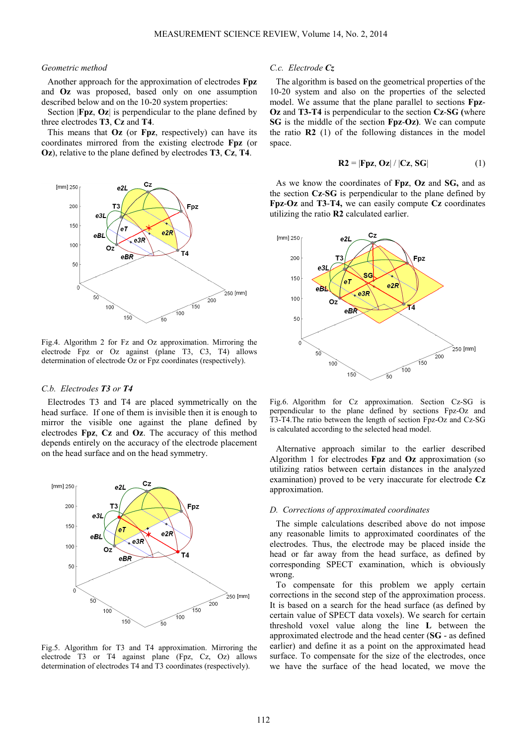## *Geometric method*

Another approach for the approximation of electrodes **Fpz** and **Oz** was proposed, based only on one assumption described below and on the 10-20 system properties:

Section |**Fpz**, **Oz**| is perpendicular to the plane defined by three electrodes **T3**, **Cz** and **T4**.

This means that **Oz** (or **Fpz**, respectively) can have its coordinates mirrored from the existing electrode **Fpz** (or **Oz**), relative to the plane defined by electrodes **T3**, **Cz**, **T4**.



Fig.4. Algorithm 2 for Fz and Oz approximation. Mirroring the electrode Fpz or Oz against (plane T3, C3, T4) allows determination of electrode Oz or Fpz coordinates (respectively).

#### *C.b. Electrodes T3 or T4*

Electrodes T3 and T4 are placed symmetrically on the head surface. If one of them is invisible then it is enough to mirror the visible one against the plane defined by electrodes **Fpz**, **Cz** and **Oz**. The accuracy of this method depends entirely on the accuracy of the electrode placement on the head surface and on the head symmetry.



Fig.5. Algorithm for T3 and T4 approximation. Mirroring the electrode T3 or T4 against plane (Fpz, Cz, Oz) allows determination of electrodes T4 and T3 coordinates (respectively).

# *C.c. Electrode Cz*

The algorithm is based on the geometrical properties of the 10-20 system and also on the properties of the selected model. We assume that the plane parallel to sections **Fpz**-**Oz** and **T3-T4** is perpendicular to the section **Cz**-**SG (**where **SG** is the middle of the section **Fpz**-**Oz)**. We can compute the ratio **R2** (1) of the following distances in the model space.

$$
\mathbf{R2} = |\mathbf{Fpz}, \mathbf{Oz}| / |\mathbf{Cz}, \mathbf{SG}|
$$
 (1)

As we know the coordinates of **Fpz**, **Oz** and **SG,** and as the section **Cz**-**SG** is perpendicular to the plane defined by **Fpz**-**Oz** and **T3**-**T4,** we can easily compute **Cz** coordinates utilizing the ratio **R2** calculated earlier.



Fig.6. Algorithm for Cz approximation. Section Cz-SG is perpendicular to the plane defined by sections Fpz-Oz and T3-T4.The ratio between the length of section Fpz-Oz and Cz-SG is calculated according to the selected head model.

Alternative approach similar to the earlier described Algorithm 1 for electrodes **Fpz** and **Oz** approximation (so utilizing ratios between certain distances in the analyzed examination) proved to be very inaccurate for electrode **Cz** approximation.

## *D. Corrections of approximated coordinates*

The simple calculations described above do not impose any reasonable limits to approximated coordinates of the electrodes. Thus, the electrode may be placed inside the head or far away from the head surface, as defined by corresponding SPECT examination, which is obviously wrong.

To compensate for this problem we apply certain corrections in the second step of the approximation process. It is based on a search for the head surface (as defined by certain value of SPECT data voxels). We search for certain threshold voxel value along the line **L** between the approximated electrode and the head center (**SG** - as defined earlier) and define it as a point on the approximated head surface. To compensate for the size of the electrodes, once we have the surface of the head located, we move the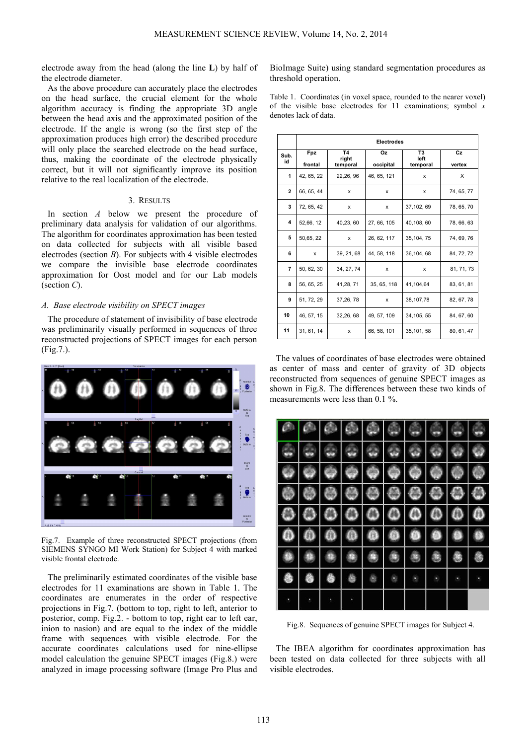electrode away from the head (along the line **L**) by half of the electrode diameter.

As the above procedure can accurately place the electrodes on the head surface, the crucial element for the whole algorithm accuracy is finding the appropriate 3D angle between the head axis and the approximated position of the electrode. If the angle is wrong (so the first step of the approximation produces high error) the described procedure will only place the searched electrode on the head surface, thus, making the coordinate of the electrode physically correct, but it will not significantly improve its position relative to the real localization of the electrode.

## 3. RESULTS

In section *A* below we present the procedure of preliminary data analysis for validation of our algorithms. The algorithm for coordinates approximation has been tested on data collected for subjects with all visible based electrodes (section *B*). For subjects with 4 visible electrodes we compare the invisible base electrode coordinates approximation for Oost model and for our Lab models (section *C*).

# *A. Base electrode visibility on SPECT images*

The procedure of statement of invisibility of base electrode was preliminarily visually performed in sequences of three reconstructed projections of SPECT images for each person (Fig.7.).



Fig.7. Example of three reconstructed SPECT projections (from SIEMENS SYNGO MI Work Station) for Subject 4 with marked visible frontal electrode.

The preliminarily estimated coordinates of the visible base electrodes for 11 examinations are shown in Table 1. The coordinates are enumerates in the order of respective projections in Fig.7. (bottom to top, right to left, anterior to posterior, comp. Fig.2. - bottom to top, right ear to left ear, inion to nasion) and are equal to the index of the middle frame with sequences with visible electrode. For the accurate coordinates calculations used for nine-ellipse model calculation the genuine SPECT images (Fig.8.) were analyzed in image processing software (Image Pro Plus and

BioImage Suite) using standard segmentation procedures as threshold operation.

Table 1. Coordinates (in voxel space, rounded to the nearer voxel) of the visible base electrodes for 11 examinations; symbol *x* denotes lack of data.

|                | <b>Electrodes</b> |                         |                 |                                    |                   |
|----------------|-------------------|-------------------------|-----------------|------------------------------------|-------------------|
| Sub.<br>id     | Fpz<br>frontal    | T4<br>right<br>temporal | Οz<br>occipital | T <sub>3</sub><br>left<br>temporal | $C_{Z}$<br>vertex |
| 1              | 42, 65, 22        | 22,26,96                | 46, 65, 121     | x                                  | X                 |
| $\overline{2}$ | 66, 65, 44        | x                       | x               | x                                  | 74, 65, 77        |
| 3              | 72, 65, 42        | x                       | x               | 37,102,69                          | 78, 65, 70        |
| 4              | 52,66, 12         | 40,23,60                | 27, 66, 105     | 40,108,60                          | 78, 66, 63        |
| 5              | 50,65, 22         | x                       | 26, 62, 117     | 35,104,75                          | 74, 69, 76        |
| 6              | x                 | 39, 21, 68              | 44, 58, 118     | 36,104,68                          | 84, 72, 72        |
| 7              | 50, 62, 30        | 34, 27, 74              | x               | x                                  | 81, 71, 73        |
| 8              | 56, 65, 25        | 41,28,71                | 35, 65, 118     | 41,104,64                          | 83, 61, 81        |
| 9              | 51, 72, 29        | 37,26,78                | x               | 38,107,78                          | 82, 67, 78        |
| 10             | 46, 57, 15        | 32,26,68                | 49, 57, 109     | 34,105, 55                         | 84, 67, 60        |
| 11             | 31, 61, 14        | x                       | 66, 58, 101     | 35,101,58                          | 80, 61, 47        |

The values of coordinates of base electrodes were obtained as center of mass and center of gravity of 3D objects reconstructed from sequences of genuine SPECT images as shown in Fig.8. The differences between these two kinds of measurements were less than 0.1 %.



Fig.8. Sequences of genuine SPECT images for Subject 4.

The IBEA algorithm for coordinates approximation has been tested on data collected for three subjects with all visible electrodes.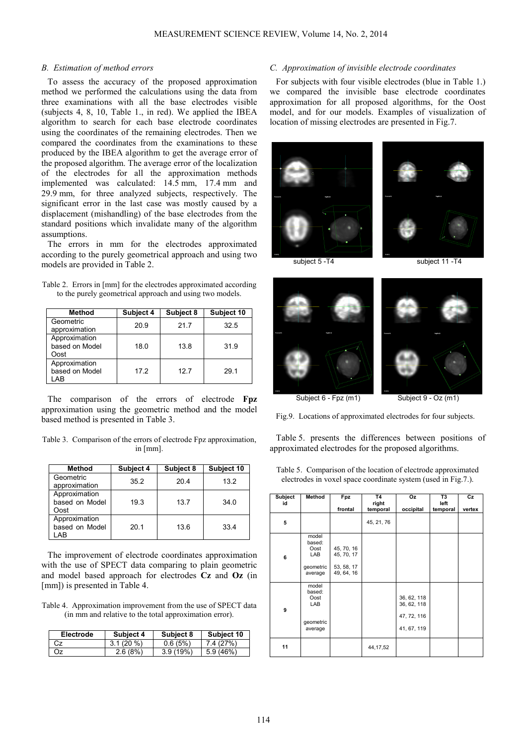## *B. Estimation of method errors*

To assess the accuracy of the proposed approximation method we performed the calculations using the data from three examinations with all the base electrodes visible (subjects 4, 8, 10, Table 1., in red). We applied the IBEA algorithm to search for each base electrode coordinates using the coordinates of the remaining electrodes. Then we compared the coordinates from the examinations to these produced by the IBEA algorithm to get the average error of the proposed algorithm. The average error of the localization of the electrodes for all the approximation methods implemented was calculated: 14.5 mm, 17.4 mm and 29.9 mm, for three analyzed subjects, respectively. The significant error in the last case was mostly caused by a displacement (mishandling) of the base electrodes from the standard positions which invalidate many of the algorithm assumptions.

The errors in mm for the electrodes approximated according to the purely geometrical approach and using two models are provided in Table 2.

| Table 2. Errors in [mm] for the electrodes approximated according |
|-------------------------------------------------------------------|
| to the purely geometrical approach and using two models.          |

| <b>Method</b>                           | Subject 4 | Subject 8 | Subject 10 |
|-----------------------------------------|-----------|-----------|------------|
| Geometric<br>approximation              | 20.9      | 21.7      | 32.5       |
| Approximation<br>based on Model<br>Oost | 18.0      | 13.8      | 31.9       |
| Approximation<br>based on Model<br>LAB  | 17.2      | 12.7      | 29.1       |

The comparison of the errors of electrode **Fpz** approximation using the geometric method and the model based method is presented in Table 3.

Table 3. Comparison of the errors of electrode Fpz approximation, in [mm].

| <b>Method</b>                           | Subject 4 | Subject 8 | Subject 10 |
|-----------------------------------------|-----------|-----------|------------|
| Geometric<br>approximation              | 35.2      | 20.4      | 13.2       |
| Approximation<br>based on Model<br>Oost | 19.3      | 137       | 34.0       |
| Approximation<br>based on Model<br>LAB  | 20.1      | 13.6      | 33.4       |

The improvement of electrode coordinates approximation with the use of SPECT data comparing to plain geometric and model based approach for electrodes **Cz** and **Oz** (in [mm]) is presented in Table 4.

Table 4. Approximation improvement from the use of SPECT data (in mm and relative to the total approximation error).

| Electrode | Subject 4   | Subject 8 | Subject 10 |
|-----------|-------------|-----------|------------|
|           | $3.1(20\%)$ | 0.6(5%)   | 7.4 (27%)  |
| Jz        | 2.6(8%)     | 3.9(19%)  | 5.9(46%)   |

# *C. Approximation of invisible electrode coordinates*

For subjects with four visible electrodes (blue in Table 1.) we compared the invisible base electrode coordinates approximation for all proposed algorithms, for the Oost model, and for our models. Examples of visualization of location of missing electrodes are presented in Fig.7.



subject 5 - T4 subject 11 - T4



Subject 6 - Fpz (m1) Subject 9 - Oz (m1)

Fig.9. Locations of approximated electrodes for four subjects.

Table 5. presents the differences between positions of approximated electrodes for the proposed algorithms.

Table 5. Comparison of the location of electrode approximated electrodes in voxel space coordinate system (used in Fig.7.).

| Subject | Method                                                 | Fpz                                                  | T <sub>4</sub> | Oz                                                       | T <sub>3</sub> | Cz     |
|---------|--------------------------------------------------------|------------------------------------------------------|----------------|----------------------------------------------------------|----------------|--------|
| id      |                                                        |                                                      | right          |                                                          | left           |        |
|         |                                                        | frontal                                              | temporal       | occipital                                                | temporal       | vertex |
| 5       |                                                        |                                                      | 45, 21, 76     |                                                          |                |        |
|         |                                                        |                                                      |                |                                                          |                |        |
| 6       | model<br>based:<br>Oost<br>LAB<br>geometric<br>average | 45, 70, 16<br>45, 70, 17<br>53, 58, 17<br>49, 64, 16 |                |                                                          |                |        |
| 9       | model<br>based:<br>Oost<br>LAB<br>geometric<br>average |                                                      |                | 36, 62, 118<br>36, 62, 118<br>47, 72, 116<br>41, 67, 119 |                |        |
| 11      |                                                        |                                                      | 44, 17, 52     |                                                          |                |        |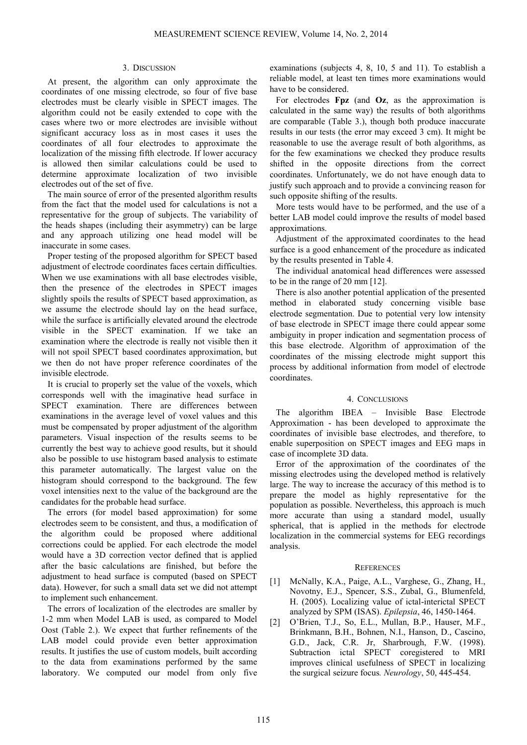# 3. DISCUSSION

At present, the algorithm can only approximate the coordinates of one missing electrode, so four of five base electrodes must be clearly visible in SPECT images. The algorithm could not be easily extended to cope with the cases where two or more electrodes are invisible without significant accuracy loss as in most cases it uses the coordinates of all four electrodes to approximate the localization of the missing fifth electrode. If lower accuracy is allowed then similar calculations could be used to determine approximate localization of two invisible electrodes out of the set of five.

The main source of error of the presented algorithm results from the fact that the model used for calculations is not a representative for the group of subjects. The variability of the heads shapes (including their asymmetry) can be large and any approach utilizing one head model will be inaccurate in some cases.

Proper testing of the proposed algorithm for SPECT based adjustment of electrode coordinates faces certain difficulties. When we use examinations with all base electrodes visible, then the presence of the electrodes in SPECT images slightly spoils the results of SPECT based approximation, as we assume the electrode should lay on the head surface, while the surface is artificially elevated around the electrode visible in the SPECT examination. If we take an examination where the electrode is really not visible then it will not spoil SPECT based coordinates approximation, but we then do not have proper reference coordinates of the invisible electrode.

It is crucial to properly set the value of the voxels, which corresponds well with the imaginative head surface in SPECT examination. There are differences between examinations in the average level of voxel values and this must be compensated by proper adjustment of the algorithm parameters. Visual inspection of the results seems to be currently the best way to achieve good results, but it should also be possible to use histogram based analysis to estimate this parameter automatically. The largest value on the histogram should correspond to the background. The few voxel intensities next to the value of the background are the candidates for the probable head surface.

The errors (for model based approximation) for some electrodes seem to be consistent, and thus, a modification of the algorithm could be proposed where additional corrections could be applied. For each electrode the model would have a 3D correction vector defined that is applied after the basic calculations are finished, but before the adjustment to head surface is computed (based on SPECT data). However, for such a small data set we did not attempt to implement such enhancement.

The errors of localization of the electrodes are smaller by 1-2 mm when Model LAB is used, as compared to Model Oost (Table 2.). We expect that further refinements of the LAB model could provide even better approximation results. It justifies the use of custom models, built according to the data from examinations performed by the same laboratory. We computed our model from only five

examinations (subjects 4, 8, 10, 5 and 11). To establish a reliable model, at least ten times more examinations would have to be considered.

For electrodes **Fpz** (and **Oz**, as the approximation is calculated in the same way) the results of both algorithms are comparable (Table 3.), though both produce inaccurate results in our tests (the error may exceed 3 cm). It might be reasonable to use the average result of both algorithms, as for the few examinations we checked they produce results shifted in the opposite directions from the correct coordinates. Unfortunately, we do not have enough data to justify such approach and to provide a convincing reason for such opposite shifting of the results.

More tests would have to be performed, and the use of a better LAB model could improve the results of model based approximations.

Adjustment of the approximated coordinates to the head surface is a good enhancement of the procedure as indicated by the results presented in Table 4.

The individual anatomical head differences were assessed to be in the range of 20 mm [12].

There is also another potential application of the presented method in elaborated study concerning visible base electrode segmentation. Due to potential very low intensity of base electrode in SPECT image there could appear some ambiguity in proper indication and segmentation process of this base electrode. Algorithm of approximation of the coordinates of the missing electrode might support this process by additional information from model of electrode coordinates.

# 4. CONCLUSIONS

The algorithm IBEA – Invisible Base Electrode Approximation - has been developed to approximate the coordinates of invisible base electrodes, and therefore, to enable superposition on SPECT images and EEG maps in case of incomplete 3D data.

Error of the approximation of the coordinates of the missing electrodes using the developed method is relatively large. The way to increase the accuracy of this method is to prepare the model as highly representative for the population as possible. Nevertheless, this approach is much more accurate than using a standard model, usually spherical, that is applied in the methods for electrode localization in the commercial systems for EEG recordings analysis.

#### **REFERENCES**

- [1] McNally, K.A., Paige, A.L., Varghese, G., Zhang, H., Novotny, E.J., Spencer, S.S., Zubal, G., Blumenfeld, H. (2005). Localizing value of ictal-interictal SPECT analyzed by SPM (ISAS). *Epilepsia*, 46, 1450-1464.
- [2] O'Brien, T.J., So, E.L., Mullan, B.P., Hauser, M.F., Brinkmann, B.H., Bohnen, N.I., Hanson, D., Cascino, G.D., Jack, C.R. Jr, Sharbrough, F.W. (1998). Subtraction ictal SPECT coregistered to MRI improves clinical usefulness of SPECT in localizing the surgical seizure focus*. Neurology*, 50, 445-454.